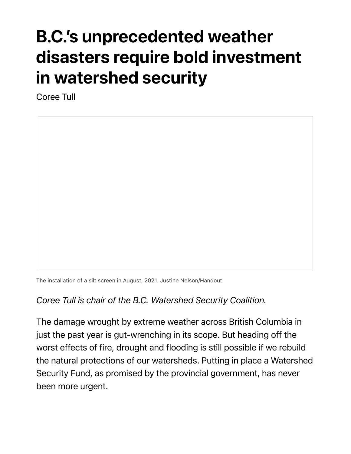## B.C.'s unprecedented weather disasters require bold investment in watershed security

Coree Tull

The installation of a silt screen in August, 2021. Justine Nelson/Handout

## *Coree Tull is chair of the B.C. Watershed Security Coalition.*

The damage wrought by extreme weather across British Columbia in just the past year is gut-wrenching in its scope. But heading off the worst effects of fire, drought and flooding is still possible if we rebuild the natural protections of our watersheds. Putting in place a Watershed Security Fund, as promised by the provincial government, has never been more urgent.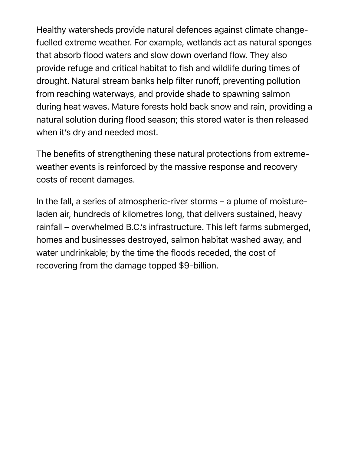Healthy watersheds provide natural defences against climate changefuelled extreme weather. For example, wetlands act as natural sponges that absorb flood waters and slow down overland flow. They also provide refuge and critical habitat to fish and wildlife during times of drought. Natural stream banks help filter runoff, preventing pollution from reaching waterways, and provide shade to spawning salmon during heat waves. Mature forests hold back snow and rain, providing a natural solution during flood season; this stored water is then released when it's dry and needed most.

The benefits of strengthening these natural protections from extremeweather events is reinforced by the massive response and recovery costs of recent damages.

In the fall, a series of atmospheric-river storms – a plume of moistureladen air, hundreds of kilometres long, that delivers sustained, heavy rainfall – overwhelmed B.C.'s infrastructure. This left farms submerged, homes and businesses destroyed, salmon habitat washed away, and water undrinkable; by the time the floods receded, the cost of recovering from the damage topped \$9-billion.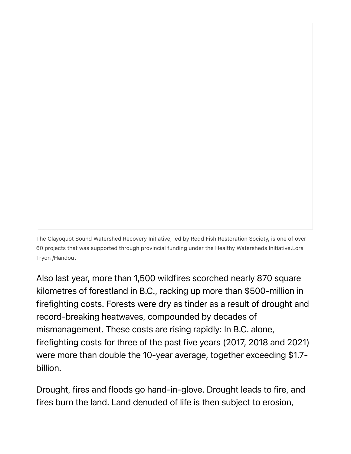The Clayoquot Sound Watershed Recovery Initiative, led by Redd Fish Restoration Society, is one of over 60 projects that was supported through provincial funding under the Healthy Watersheds Initiative.Lora Tryon /Handout

Also last year, more than 1,500 wildfires scorched nearly 870 square kilometres of forestland in B.C., racking up more than \$500-million in firefighting costs. Forests were dry as tinder as a result of drought and record-breaking heatwaves, compounded by decades of mismanagement. These costs are rising rapidly: In B.C. alone, firefighting costs for three of the past five years (2017, 2018 and 2021) were more than double the 10-year average, together exceeding \$1.7 billion.

Drought, fires and floods go hand-in-glove. Drought leads to fire, and fires burn the land. Land denuded of life is then subject to erosion,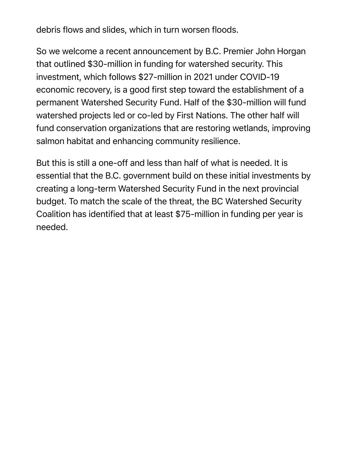debris flows and slides, which in turn worsen floods.

So we welcome a recent announcement by B.C. Premier John Horgan that outlined \$30-million in funding for watershed security. This investment, which follows \$27-million in 2021 under COVID-19 economic recovery, is a good first step toward the establishment of a permanent Watershed Security Fund. Half of the \$30-million will fund watershed projects led or co-led by First Nations. The other half will fund conservation organizations that are restoring wetlands, improving salmon habitat and enhancing community resilience.

But this is still a one-off and less than half of what is needed. It is essential that the B.C. government build on these initial investments by creating a long-term Watershed Security Fund in the next provincial budget. To match the scale of the threat, the BC Watershed Security Coalition has identified that at least \$75-million in funding per year is needed.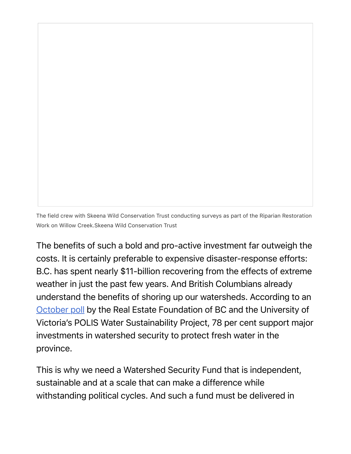The field crew with Skeena Wild Conservation Trust conducting surveys as part of the Riparian Restoration Work on Willow Creek.Skeena Wild Conservation Trust

The benefits of such a bold and pro-active investment far outweigh the costs. It is certainly preferable to expensive disaster-response efforts: B.C. has spent nearly \$11-billion recovering from the effects of extreme weather in just the past few years. And British Columbians already understand the benefits of shoring up our watersheds. According to an October poll by the Real Estate Foundation of BC and the University of Victoria's POLIS Water Sustainability Project, 78 per cent support major investments in watershed security to protect fresh water in the province.

This is why we need a Watershed Security Fund that is independent, sustainable and at a scale that can make a difference while withstanding political cycles. And such a fund must be delivered in